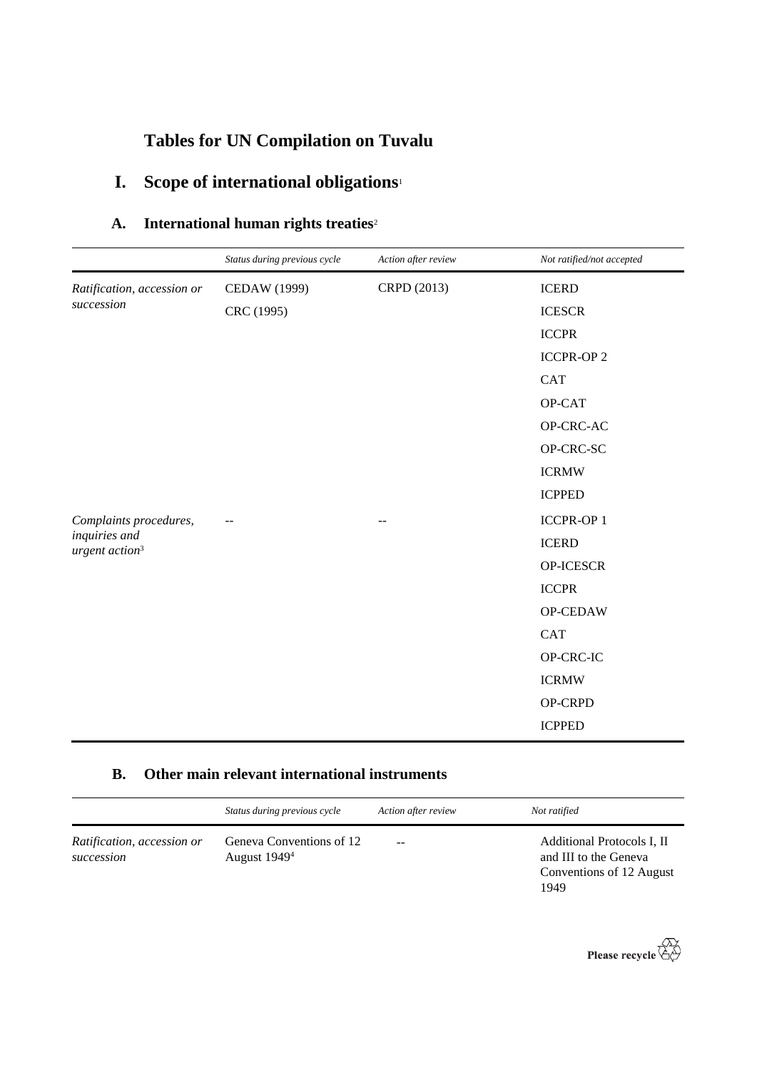# **Tables for UN Compilation on Tuvalu**

# **I. Scope of international obligations**<sup>1</sup>

| A. | International human rights treaties <sup>2</sup> |  |  |  |
|----|--------------------------------------------------|--|--|--|
|----|--------------------------------------------------|--|--|--|

|                                                                       | Status during previous cycle | Action after review | Not ratified/not accepted |
|-----------------------------------------------------------------------|------------------------------|---------------------|---------------------------|
| Ratification, accession or                                            | <b>CEDAW</b> (1999)          | CRPD (2013)         | <b>ICERD</b>              |
| succession                                                            | CRC (1995)                   |                     | <b>ICESCR</b>             |
|                                                                       |                              |                     | <b>ICCPR</b>              |
|                                                                       |                              |                     | <b>ICCPR-OP 2</b>         |
|                                                                       |                              |                     | <b>CAT</b>                |
|                                                                       |                              |                     | OP-CAT                    |
|                                                                       |                              |                     | OP-CRC-AC                 |
|                                                                       |                              |                     | OP-CRC-SC                 |
|                                                                       |                              |                     | <b>ICRMW</b>              |
|                                                                       |                              |                     | <b>ICPPED</b>             |
| Complaints procedures,<br>inquiries and<br>urgent action <sup>3</sup> |                              | $-$                 | <b>ICCPR-OP1</b>          |
|                                                                       |                              |                     | <b>ICERD</b>              |
|                                                                       |                              |                     | OP-ICESCR                 |
|                                                                       |                              |                     | <b>ICCPR</b>              |
|                                                                       |                              |                     | OP-CEDAW                  |
|                                                                       |                              |                     | <b>CAT</b>                |
|                                                                       |                              |                     | OP-CRC-IC                 |
|                                                                       |                              |                     | <b>ICRMW</b>              |
|                                                                       |                              |                     | OP-CRPD                   |
|                                                                       |                              |                     | <b>ICPPED</b>             |

### **B. Other main relevant international instruments**

|                                          | Status during previous cycle                         | Action after review | Not ratified                                                                            |
|------------------------------------------|------------------------------------------------------|---------------------|-----------------------------------------------------------------------------------------|
| Ratification, accession or<br>succession | Geneva Conventions of 12<br>August 1949 <sup>4</sup> | $- -$               | Additional Protocols I, II<br>and III to the Geneva<br>Conventions of 12 August<br>1949 |

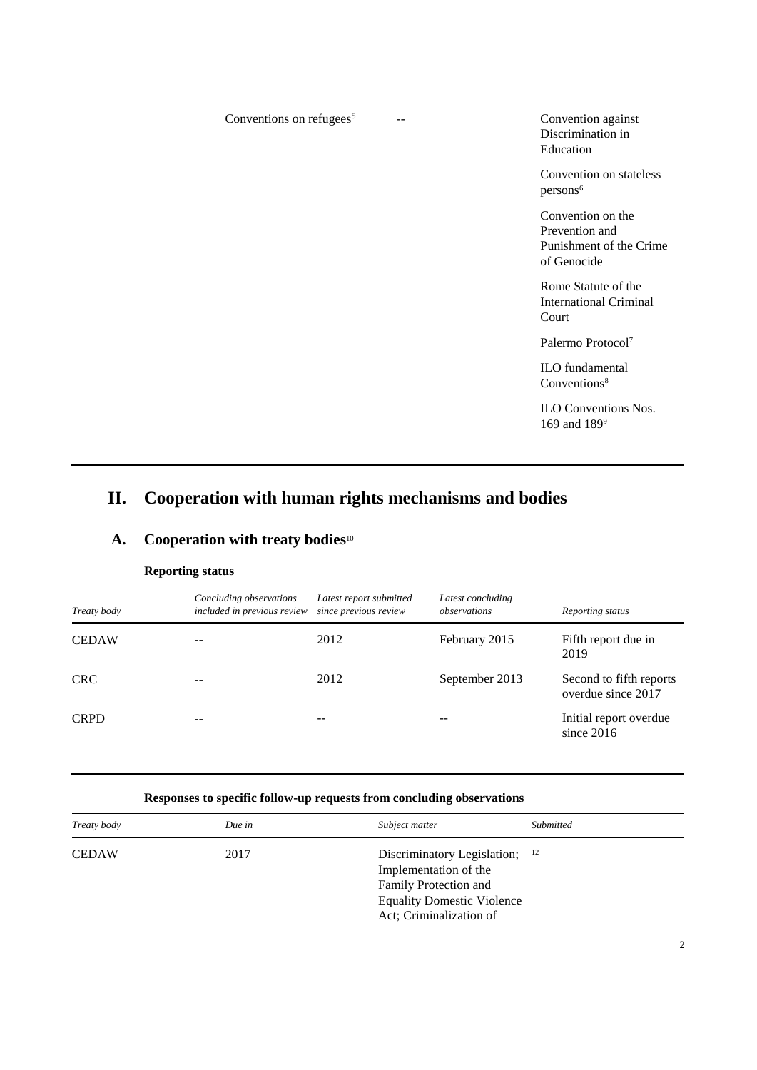| Conventions on refugees <sup>5</sup> | Convention against<br>Discrimination in<br>Education                          |
|--------------------------------------|-------------------------------------------------------------------------------|
|                                      | Convention on stateless<br>persons <sup>6</sup>                               |
|                                      | Convention on the<br>Prevention and<br>Punishment of the Crime<br>of Genocide |
|                                      | Rome Statute of the<br><b>International Criminal</b><br>Court                 |
|                                      | Palermo Protocol <sup>7</sup>                                                 |
|                                      | <b>ILO</b> fundamental<br>Conventions <sup>8</sup>                            |
|                                      | <b>ILO Conventions Nos.</b><br>169 and 189 <sup>9</sup>                       |

## **II. Cooperation with human rights mechanisms and bodies**

|              | <b>Reporting status</b>                                |                                                  |                                   |                                               |  |
|--------------|--------------------------------------------------------|--------------------------------------------------|-----------------------------------|-----------------------------------------------|--|
| Treaty body  | Concluding observations<br>included in previous review | Latest report submitted<br>since previous review | Latest concluding<br>observations | Reporting status                              |  |
| <b>CEDAW</b> |                                                        | 2012                                             | February 2015                     | Fifth report due in<br>2019                   |  |
| <b>CRC</b>   |                                                        | 2012                                             | September 2013                    | Second to fifth reports<br>overdue since 2017 |  |
| <b>CRPD</b>  |                                                        |                                                  |                                   | Initial report overdue<br>since $2016$        |  |

### **A. Cooperation with treaty bodies**<sup>10</sup>

#### **Responses to specific follow-up requests from concluding observations**

| Treaty body  | Due in | Subject matter                                                                                                                                     | Submitted |
|--------------|--------|----------------------------------------------------------------------------------------------------------------------------------------------------|-----------|
| <b>CEDAW</b> | 2017   | Discriminatory Legislation; $12$<br>Implementation of the<br>Family Protection and<br><b>Equality Domestic Violence</b><br>Act; Criminalization of |           |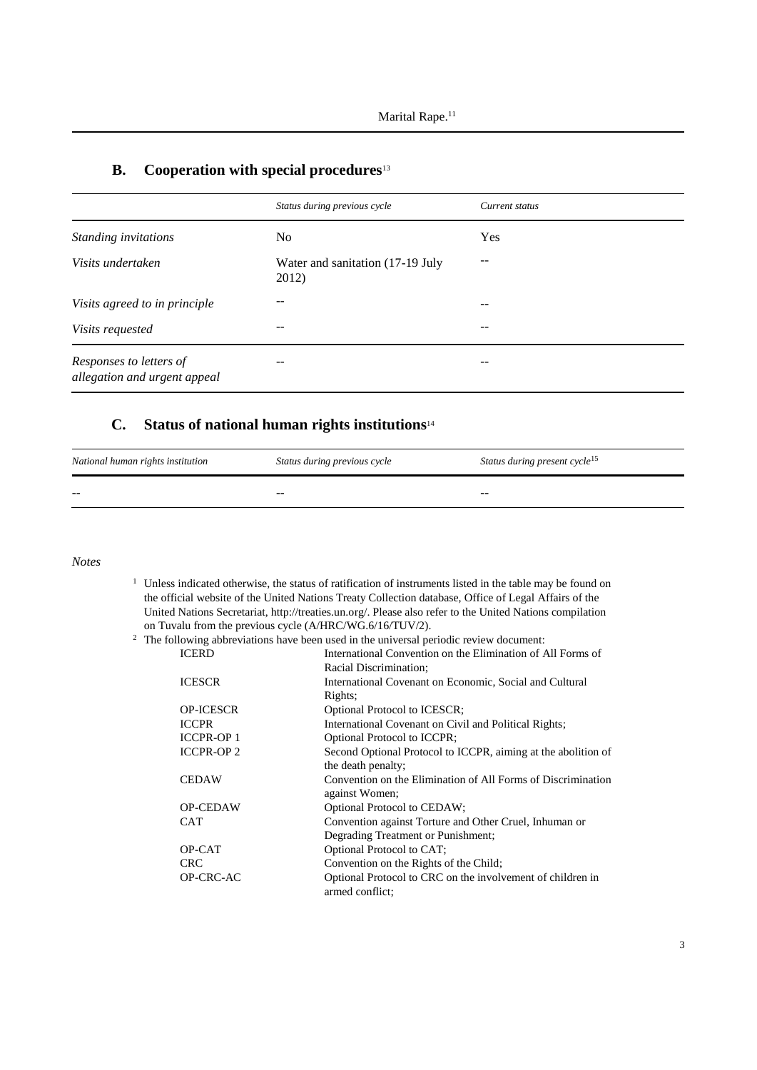|                                                         | Status during previous cycle              | Current status |
|---------------------------------------------------------|-------------------------------------------|----------------|
| Standing invitations                                    | No                                        | Yes            |
| Visits undertaken                                       | Water and sanitation (17-19 July<br>2012) | --             |
| Visits agreed to in principle                           | --                                        | --             |
| Visits requested                                        | --                                        | --             |
| Responses to letters of<br>allegation and urgent appeal | --                                        | --             |

### **B. Cooperation with special procedures**<sup>13</sup>

#### **C. Status of national human rights institutions**<sup>14</sup>

| National human rights institution | Status during previous cycle | Status during present cycle <sup>15</sup> |
|-----------------------------------|------------------------------|-------------------------------------------|
| $- -$                             | $- -$                        | $- -$                                     |

*Notes*

<sup>1</sup> Unless indicated otherwise, the status of ratification of instruments listed in the table may be found on the official website of the United Nations Treaty Collection database, Office of Legal Affairs of the United Nations Secretariat, http://treaties.un.org/. Please also refer to the United Nations compilation on Tuvalu from the previous cycle (A/HRC/WG.6/16/TUV/2).

#### <sup>2</sup> The following abbreviations have been used in the universal periodic review document:

| <b>ICERD</b>      | International Convention on the Elimination of All Forms of   |
|-------------------|---------------------------------------------------------------|
|                   | Racial Discrimination;                                        |
| <b>ICESCR</b>     | International Covenant on Economic, Social and Cultural       |
|                   | Rights;                                                       |
| <b>OP-ICESCR</b>  | Optional Protocol to ICESCR;                                  |
| <b>ICCPR</b>      | International Covenant on Civil and Political Rights;         |
| <b>ICCPR-OP 1</b> | <b>Optional Protocol to ICCPR;</b>                            |
| <b>ICCPR-OP2</b>  | Second Optional Protocol to ICCPR, aiming at the abolition of |
|                   | the death penalty;                                            |
| <b>CEDAW</b>      | Convention on the Elimination of All Forms of Discrimination  |
|                   | against Women;                                                |
| <b>OP-CEDAW</b>   | Optional Protocol to CEDAW;                                   |
| <b>CAT</b>        | Convention against Torture and Other Cruel, Inhuman or        |
|                   | Degrading Treatment or Punishment;                            |
| OP-CAT            | Optional Protocol to CAT;                                     |
| <b>CRC</b>        | Convention on the Rights of the Child;                        |
| OP-CRC-AC         | Optional Protocol to CRC on the involvement of children in    |
|                   | armed conflict:                                               |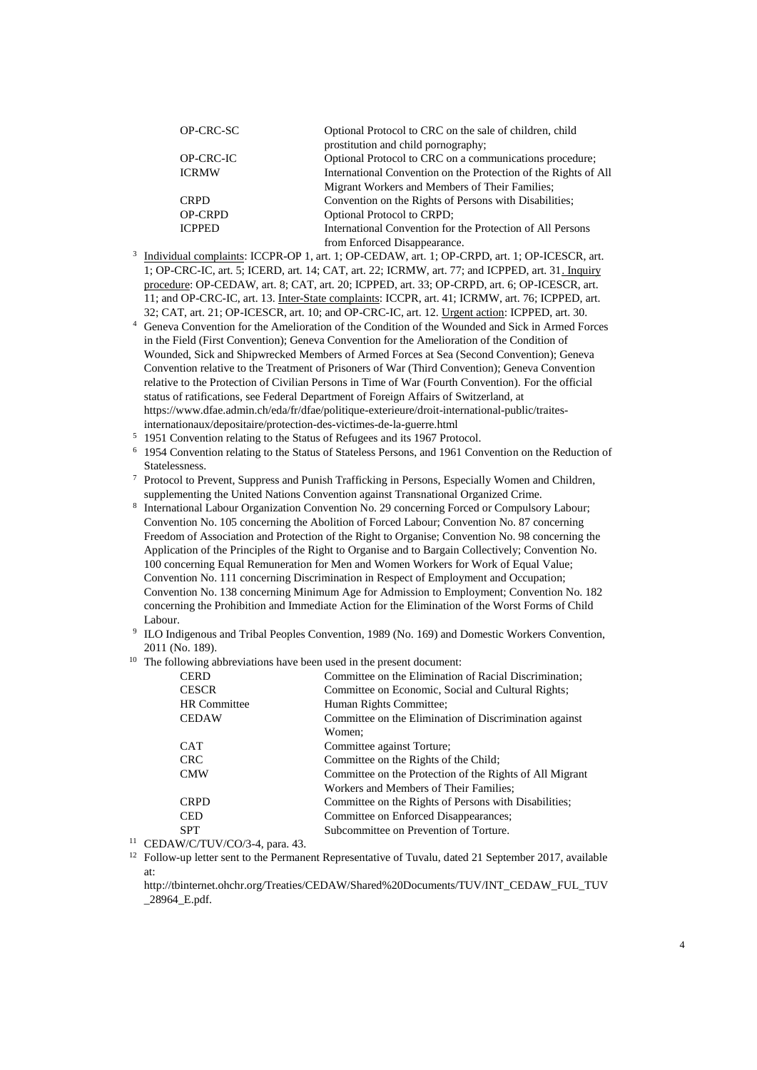| OP-CRC-SC      | Optional Protocol to CRC on the sale of children, child         |
|----------------|-----------------------------------------------------------------|
|                | prostitution and child pornography;                             |
| OP-CRC-IC      | Optional Protocol to CRC on a communications procedure;         |
| <b>ICRMW</b>   | International Convention on the Protection of the Rights of All |
|                | Migrant Workers and Members of Their Families;                  |
| <b>CRPD</b>    | Convention on the Rights of Persons with Disabilities;          |
| <b>OP-CRPD</b> | <b>Optional Protocol to CRPD;</b>                               |
| <b>ICPPED</b>  | International Convention for the Protection of All Persons      |
|                | from Enforced Disappearance.                                    |

- <sup>3</sup> Individual complaints: ICCPR-OP 1, art. 1; OP-CEDAW, art. 1; OP-CRPD, art. 1; OP-ICESCR, art. 1; OP-CRC-IC, art. 5; ICERD, art. 14; CAT, art. 22; ICRMW, art. 77; and ICPPED, art. 31. Inquiry procedure: OP-CEDAW, art. 8; CAT, art. 20; ICPPED, art. 33; OP-CRPD, art. 6; OP-ICESCR, art. 11; and OP-CRC-IC, art. 13. Inter-State complaints: ICCPR, art. 41; ICRMW, art. 76; ICPPED, art. 32; CAT, art. 21; OP-ICESCR, art. 10; and OP-CRC-IC, art. 12. Urgent action: ICPPED, art. 30.
- <sup>4</sup> Geneva Convention for the Amelioration of the Condition of the Wounded and Sick in Armed Forces in the Field (First Convention); Geneva Convention for the Amelioration of the Condition of Wounded, Sick and Shipwrecked Members of Armed Forces at Sea (Second Convention); Geneva Convention relative to the Treatment of Prisoners of War (Third Convention); Geneva Convention relative to the Protection of Civilian Persons in Time of War (Fourth Convention). For the official status of ratifications, see Federal Department of Foreign Affairs of Switzerland, at https://www.dfae.admin.ch/eda/fr/dfae/politique-exterieure/droit-international-public/traitesinternationaux/depositaire/protection-des-victimes-de-la-guerre.html
- <sup>5</sup> 1951 Convention relating to the Status of Refugees and its 1967 Protocol.
- <sup>6</sup> 1954 Convention relating to the Status of Stateless Persons, and 1961 Convention on the Reduction of Statelessness.
- <sup>7</sup> Protocol to Prevent, Suppress and Punish Trafficking in Persons, Especially Women and Children, supplementing the United Nations Convention against Transnational Organized Crime.
- 8 International Labour Organization Convention No. 29 concerning Forced or Compulsory Labour; Convention No. 105 concerning the Abolition of Forced Labour; Convention No. 87 concerning Freedom of Association and Protection of the Right to Organise; Convention No. 98 concerning the Application of the Principles of the Right to Organise and to Bargain Collectively; Convention No. 100 concerning Equal Remuneration for Men and Women Workers for Work of Equal Value; Convention No. 111 concerning Discrimination in Respect of Employment and Occupation; Convention No. 138 concerning Minimum Age for Admission to Employment; Convention No. 182 concerning the Prohibition and Immediate Action for the Elimination of the Worst Forms of Child Labour.
- <sup>9</sup> ILO Indigenous and Tribal Peoples Convention, 1989 (No. 169) and Domestic Workers Convention, 2011 (No. 189).
- $10$  The following abbreviations have been used in the present document:

| <b>CERD</b>  |                     | Committee on the Elimination of Racial Discrimination;   |
|--------------|---------------------|----------------------------------------------------------|
| <b>CESCR</b> |                     | Committee on Economic, Social and Cultural Rights;       |
|              | <b>HR</b> Committee | Human Rights Committee;                                  |
| <b>CEDAW</b> |                     | Committee on the Elimination of Discrimination against   |
|              |                     | Women:                                                   |
| <b>CAT</b>   |                     | Committee against Torture;                               |
| <b>CRC</b>   |                     | Committee on the Rights of the Child;                    |
| <b>CMW</b>   |                     | Committee on the Protection of the Rights of All Migrant |
|              |                     | Workers and Members of Their Families;                   |
| <b>CRPD</b>  |                     | Committee on the Rights of Persons with Disabilities;    |
| <b>CED</b>   |                     | Committee on Enforced Disappearances;                    |
| <b>SPT</b>   |                     | Subcommittee on Prevention of Torture.                   |
|              |                     |                                                          |

- <sup>11</sup> CEDAW/C/TUV/CO/3-4, para. 43.
- <sup>12</sup> Follow-up letter sent to the Permanent Representative of Tuvalu, dated 21 September 2017, available at:

[http://tbinternet.ohchr.org/Treaties/CEDAW/Shared%20Documents/TUV/INT\\_CEDAW\\_FUL\\_TUV](http://tbinternet.ohchr.org/Treaties/CEDAW/Shared%20Documents/TUV/INT_CEDAW_FUL_TUV_28964_E.pdf) [\\_28964\\_E.pdf.](http://tbinternet.ohchr.org/Treaties/CEDAW/Shared%20Documents/TUV/INT_CEDAW_FUL_TUV_28964_E.pdf)